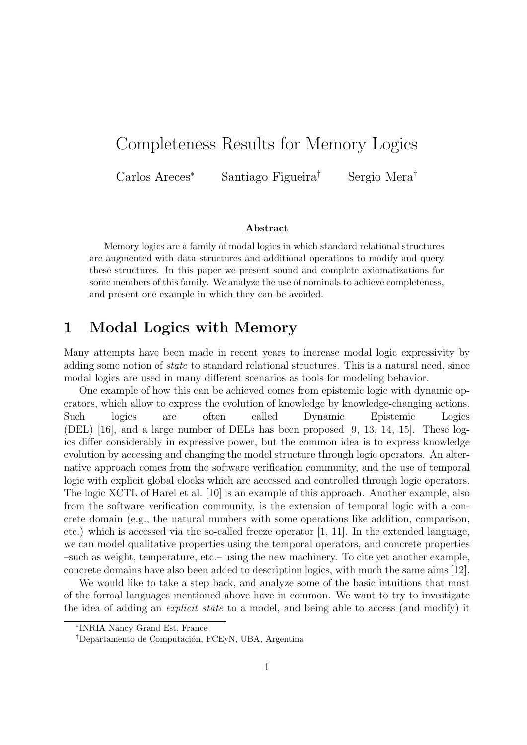# Completeness Results for Memory Logics

Carlos Areces<sup>∗</sup> Santiago Figueira† Sergio Mera†

#### Abstract

Memory logics are a family of modal logics in which standard relational structures are augmented with data structures and additional operations to modify and query these structures. In this paper we present sound and complete axiomatizations for some members of this family. We analyze the use of nominals to achieve completeness, and present one example in which they can be avoided.

### 1 Modal Logics with Memory

Many attempts have been made in recent years to increase modal logic expressivity by adding some notion of state to standard relational structures. This is a natural need, since modal logics are used in many different scenarios as tools for modeling behavior.

One example of how this can be achieved comes from epistemic logic with dynamic operators, which allow to express the evolution of knowledge by knowledge-changing actions. Such logics are often called Dynamic Epistemic Logics (DEL) [16], and a large number of DELs has been proposed [9, 13, 14, 15]. These logics differ considerably in expressive power, but the common idea is to express knowledge evolution by accessing and changing the model structure through logic operators. An alternative approach comes from the software verification community, and the use of temporal logic with explicit global clocks which are accessed and controlled through logic operators. The logic XCTL of Harel et al. [10] is an example of this approach. Another example, also from the software verification community, is the extension of temporal logic with a concrete domain (e.g., the natural numbers with some operations like addition, comparison, etc.) which is accessed via the so-called freeze operator [1, 11]. In the extended language, we can model qualitative properties using the temporal operators, and concrete properties –such as weight, temperature, etc.– using the new machinery. To cite yet another example, concrete domains have also been added to description logics, with much the same aims [12].

We would like to take a step back, and analyze some of the basic intuitions that most of the formal languages mentioned above have in common. We want to try to investigate the idea of adding an explicit state to a model, and being able to access (and modify) it

<sup>∗</sup> INRIA Nancy Grand Est, France

<sup>&</sup>lt;sup>†</sup>Departamento de Computación, FCEyN, UBA, Argentina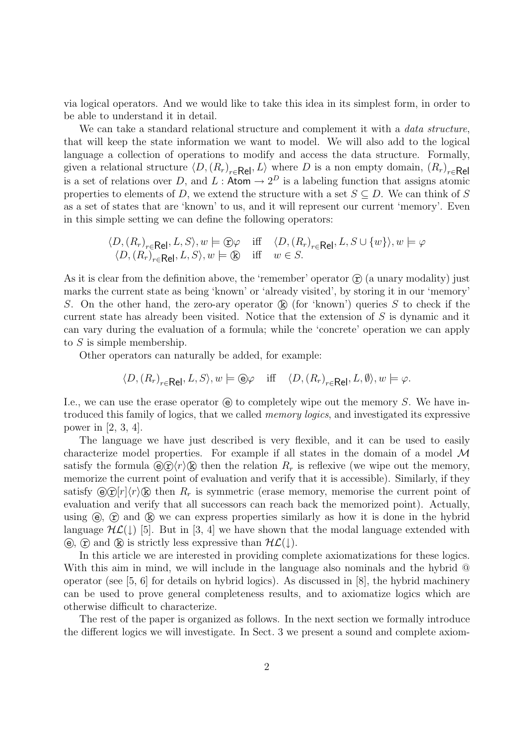via logical operators. And we would like to take this idea in its simplest form, in order to be able to understand it in detail.

We can take a standard relational structure and complement it with a *data structure*, that will keep the state information we want to model. We will also add to the logical language a collection of operations to modify and access the data structure. Formally, given a relational structure  $\langle D, (R_r)_{r \in \mathsf{Rel}}, L \rangle$  where D is a non empty domain,  $(R_r)_{r \in \mathsf{Rel}}$ is a set of relations over D, and L: Atom  $\rightarrow 2^D$  is a labeling function that assigns atomic properties to elements of D, we extend the structure with a set  $S \subseteq D$ . We can think of S as a set of states that are 'known' to us, and it will represent our current 'memory'. Even in this simple setting we can define the following operators:

$$
\langle D, (R_r)_{r \in \mathsf{Rel}}, L, S \rangle, w \models \text{D}\varphi \quad \text{iff} \quad \langle D, (R_r)_{r \in \mathsf{Rel}}, L, S \cup \{w\} \rangle, w \models \varphi
$$
  

$$
\langle D, (R_r)_{r \in \mathsf{Rel}}, L, S \rangle, w \models \textcircled{k} \quad \text{iff} \quad w \in S.
$$

As it is clear from the definition above, the 'remember' operator  $\hat{r}$  (a unary modality) just marks the current state as being 'known' or 'already visited', by storing it in our 'memory' S. On the other hand, the zero-ary operator  $\mathbb{R}$  (for 'known') queries S to check if the current state has already been visited. Notice that the extension of S is dynamic and it can vary during the evaluation of a formula; while the 'concrete' operation we can apply to  $S$  is simple membership.

Other operators can naturally be added, for example:

$$
\langle D, (R_r)_{r \in \mathsf{Rel}}, L, S \rangle, w \models \textcircled{e}\varphi \quad \text{iff} \quad \langle D, (R_r)_{r \in \mathsf{Rel}}, L, \emptyset \rangle, w \models \varphi.
$$

I.e., we can use the erase operator  $\Theta$  to completely wipe out the memory S. We have introduced this family of logics, that we called memory logics, and investigated its expressive power in [2, 3, 4].

The language we have just described is very flexible, and it can be used to easily characterize model properties. For example if all states in the domain of a model  $\mathcal M$ satisfy the formula  $\Theta(\hat{r})\langle r\rangle$  (k) then the relation  $R_r$  is reflexive (we wipe out the memory, memorize the current point of evaluation and verify that it is accessible). Similarly, if they satisfy  $\Theta(\hat{\mathbf{r}})[r]\langle r\rangle(\hat{\mathbf{k}})$  then  $R_r$  is symmetric (erase memory, memorise the current point of evaluation and verify that all successors can reach back the memorized point). Actually, using  $(\hat{e})$ ,  $(\hat{r})$  and  $(\hat{k})$  we can express properties similarly as how it is done in the hybrid language  $H\mathcal{L}(\downarrow)$  [5]. But in [3, 4] we have shown that the modal language extended with (e),  $\hat{r}$  and  $\hat{k}$  is strictly less expressive than  $H\mathcal{L}(\downarrow)$ .

In this article we are interested in providing complete axiomatizations for these logics. With this aim in mind, we will include in the language also nominals and the hybrid  $\Phi$ operator (see [5, 6] for details on hybrid logics). As discussed in [8], the hybrid machinery can be used to prove general completeness results, and to axiomatize logics which are otherwise difficult to characterize.

The rest of the paper is organized as follows. In the next section we formally introduce the different logics we will investigate. In Sect. 3 we present a sound and complete axiom-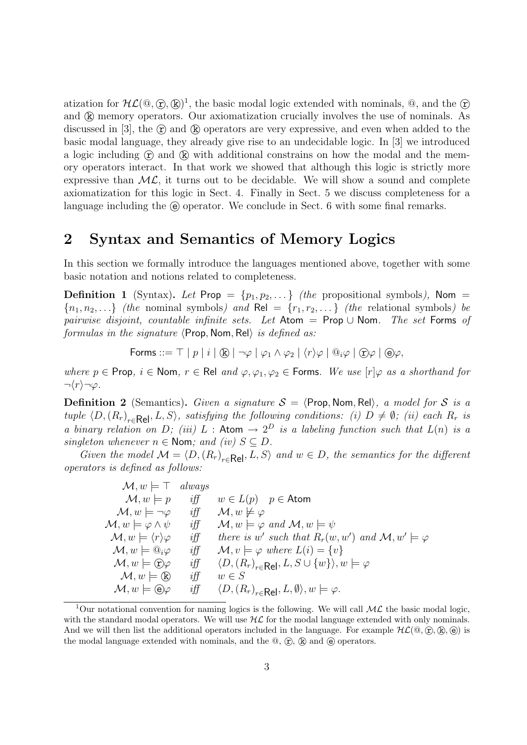atization for  $\mathcal{HL}(\mathbb{Q}, \mathbb{C}, \mathbb{Q})^1$ , the basic modal logic extended with nominals,  $\mathbb{Q}$ , and the  $\mathbb{C}$ and  $(k)$  memory operators. Our axiomatization crucially involves the use of nominals. As discussed in [3], the  $\hat{r}$  and  $\hat{k}$  operators are very expressive, and even when added to the basic modal language, they already give rise to an undecidable logic. In [3] we introduced a logic including  $\hat{r}$  and  $\hat{k}$  with additional constrains on how the modal and the memory operators interact. In that work we showed that although this logic is strictly more expressive than  $ML$ , it turns out to be decidable. We will show a sound and complete axiomatization for this logic in Sect. 4. Finally in Sect. 5 we discuss completeness for a language including the  $\Theta$  operator. We conclude in Sect. 6 with some final remarks.

### 2 Syntax and Semantics of Memory Logics

In this section we formally introduce the languages mentioned above, together with some basic notation and notions related to completeness.

**Definition 1** (Syntax). Let Prop =  $\{p_1, p_2, ...\}$  (the propositional symbols), Nom =  ${n_1, n_2,...}$  (the nominal symbols) and Rel =  ${r_1, r_2,...}$  (the relational symbols) be pairwise disjoint, countable infinite sets. Let  $\mathsf{Atom} = \mathsf{Prop} \cup \mathsf{Nom}$ . The set Forms of formulas in the signature  $\langle$ Prop, Nom, Rel $\rangle$  is defined as:

$$
\text{Forms} ::= \top | p | i | \& | \neg \varphi | \varphi_1 \land \varphi_2 | \langle r \rangle \varphi | \mathbb{Q}_i \varphi | \mathbb{Q} \varphi | \mathbb{Q} \varphi,
$$

where  $p \in \text{Prop}, i \in \text{Nom}, r \in \text{Rel}$  and  $\varphi, \varphi_1, \varphi_2 \in \text{Forms}.$  We use  $[r] \varphi$  as a shorthand for  $\neg \langle r \rangle \neg \varphi$ .

**Definition 2** (Semantics). Given a signature  $S = \langle$ Prop, Nom, Rel $\rangle$ , a model for S is a tuple  $\langle D, (R_r)_{r \in \text{Rel}}, L, S \rangle$ , satisfying the following conditions: (i)  $D \neq \emptyset$ ; (ii) each  $R_r$  is a binary relation on D; (iii) L: Atom  $\rightarrow 2^D$  is a labeling function such that  $L(n)$  is a singleton whenever  $n \in \text{Nom}$ ; and (iv)  $S \subseteq D$ .

Given the model  $M = \langle D, (R_r)_{r \in \text{Rel}}, L, S \rangle$  and  $w \in D$ , the semantics for the different operators is defined as follows:

 $\mathcal{M}, w \models \top$  always  $\mathcal{M}, w \models p$  iff  $w \in L(p)$   $p \in$  Atom  $\mathcal{M}, w \models \neg \varphi \quad \text{iff} \quad \mathcal{M}, w \not\models \varphi$  $\mathcal{M}, w \models \varphi \land \psi \quad \text{iff} \quad \mathcal{M}, w \models \varphi \text{ and } \mathcal{M}, w \models \psi$  $\mathcal{M}, w \models \langle r \rangle \varphi$  iff there is w' such that  $R_r(w, w')$  and  $\mathcal{M}, w' \models \varphi$  $M, w \models \overline{\mathbb{Q}}_i \varphi$  iff  $M, v \models \varphi$  where  $L(i) = \{v\}$ <br> $M, w \models \overline{\mathbb{Q}} \varphi$  iff  $\langle D, (R_r)_{r \in \mathbf{Rel}}, L, S \cup \{w\} \rangle, u$  $\mathcal{M}, w \models \textcircled{f}\varphi \quad \text{iff} \quad \langle D, (R)$ <br> $\mathcal{M}, w \models (\text{R}) \quad \text{iff} \quad w \in S$  $\langle D, (R_r)_{r \in \mathsf{Rel}}, L, S \cup \{w\} \rangle, w \models \varphi$  $\mathcal{M}, w \models \mathbb{R}$  iff  $\mathcal{M}, w \models \Theta \varphi \quad \text{iff}$  $\langle D, (R_r)_{r \in \mathbf{Rel}}, L, \emptyset \rangle, w \models \varphi.$ 

<sup>&</sup>lt;sup>1</sup>Our notational convention for naming logics is the following. We will call  $ML$  the basic modal logic, with the standard modal operators. We will use  $H\mathcal{L}$  for the modal language extended with only nominals. And we will then list the additional operators included in the language. For example  $HL(\mathbb{Q}, \mathbb{Q}, \mathbb{Q}, \mathbb{Q})$  is the modal language extended with nominals, and the  $\mathbb{Q}, \mathbb{Q}, \mathbb{R}$  and  $\Theta$  operators.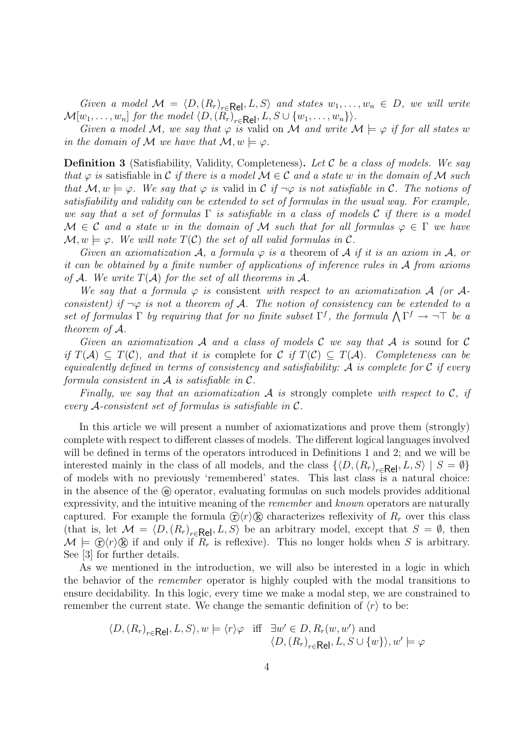Given a model  $\mathcal{M} = \langle D, (R_r)_{r \in \mathsf{Rel}}, L, S \rangle$  and states  $w_1, \ldots, w_n \in D$ , we will write  $\mathcal{M}[w_1,\ldots,w_n]$  for the model  $\langle D,(R_r)_{r\in\mathsf{Rel}}, L, S\cup \{w_1,\ldots,w_n\}\rangle$ .

Given a model M, we say that  $\varphi$  is valid on M and write  $M \models \varphi$  if for all states w in the domain of M we have that  $\mathcal{M}, w \models \varphi$ .

**Definition 3** (Satisfiability, Validity, Completeness). Let  $\mathcal C$  be a class of models. We say that  $\varphi$  is satisfiable in C if there is a model  $\mathcal{M} \in \mathcal{C}$  and a state w in the domain of M such that  $\mathcal{M}, w \models \varphi$ . We say that  $\varphi$  is valid in C if  $\neg \varphi$  is not satisfiable in C. The notions of satisfiability and validity can be extended to set of formulas in the usual way. For example, we say that a set of formulas  $\Gamma$  is satisfiable in a class of models C if there is a model  $M \in \mathcal{C}$  and a state w in the domain of M such that for all formulas  $\varphi \in \Gamma$  we have  $\mathcal{M}, w \models \varphi$ . We will note  $T(\mathcal{C})$  the set of all valid formulas in  $\mathcal{C}$ .

Given an axiomatization A, a formula  $\varphi$  is a theorem of A if it is an axiom in A, or it can be obtained by a finite number of applications of inference rules in A from axioms of A. We write  $T(A)$  for the set of all theorems in A.

We say that a formula  $\varphi$  is consistent with respect to an axiomatization A (or Aconsistent) if  $\neg \varphi$  is not a theorem of A. The notion of consistency can be extended to a set of formulas  $\Gamma$  by requiring that for no finite subset  $\Gamma^f$ , the formula  $\bigwedge \Gamma^f \to \neg \top$  be a theorem of A.

Given an axiomatization  $\mathcal A$  and a class of models  $\mathcal C$  we say that  $\mathcal A$  is sound for  $\mathcal C$ if  $T(\mathcal{A}) \subseteq T(\mathcal{C})$ , and that it is complete for  $\mathcal{C}$  if  $T(\mathcal{C}) \subseteq T(\mathcal{A})$ . Completeness can be equivalently defined in terms of consistency and satisfiability:  $\mathcal A$  is complete for  $\mathcal C$  if every formula consistent in  $A$  is satisfiable in  $C$ .

Finally, we say that an axiomatization  $A$  is strongly complete with respect to  $C$ , if every A-consistent set of formulas is satisfiable in  $\mathcal{C}$ .

In this article we will present a number of axiomatizations and prove them (strongly) complete with respect to different classes of models. The different logical languages involved will be defined in terms of the operators introduced in Definitions 1 and 2; and we will be interested mainly in the class of all models, and the class  $\{D, (R_r)_{r \in \text{Rel}}, L, S\} \mid S = \emptyset\}$ of models with no previously 'remembered' states. This last class is a natural choice: in the absence of the  $\Theta$  operator, evaluating formulas on such models provides additional expressivity, and the intuitive meaning of the *remember* and *known* operators are naturally captured. For example the formula  $\mathcal{D}\langle r\rangle\mathcal{D}$  characterizes reflexivity of  $R_r$  over this class (that is, let  $\mathcal{M} = \langle D, (R_r)_{r \in \mathbf{Rel}}, L, S \rangle$  be an arbitrary model, except that  $S = \emptyset$ , then  $\mathcal{M} \models \mathcal{D}\langle r \rangle \mathcal{B}$  if and only if  $R_r$  is reflexive). This no longer holds when S is arbitrary. See [3] for further details.

As we mentioned in the introduction, we will also be interested in a logic in which the behavior of the remember operator is highly coupled with the modal transitions to ensure decidability. In this logic, every time we make a modal step, we are constrained to remember the current state. We change the semantic definition of  $\langle r \rangle$  to be:

$$
\langle D, (R_r)_{r \in \mathsf{Rel}}, L, S \rangle, w \models \langle r \rangle \varphi \quad \text{iff} \quad \exists w' \in D, R_r(w, w') \text{ and}
$$

$$
\langle D, (R_r)_{r \in \mathsf{Rel}}, L, S \cup \{w\} \rangle, w' \models \varphi
$$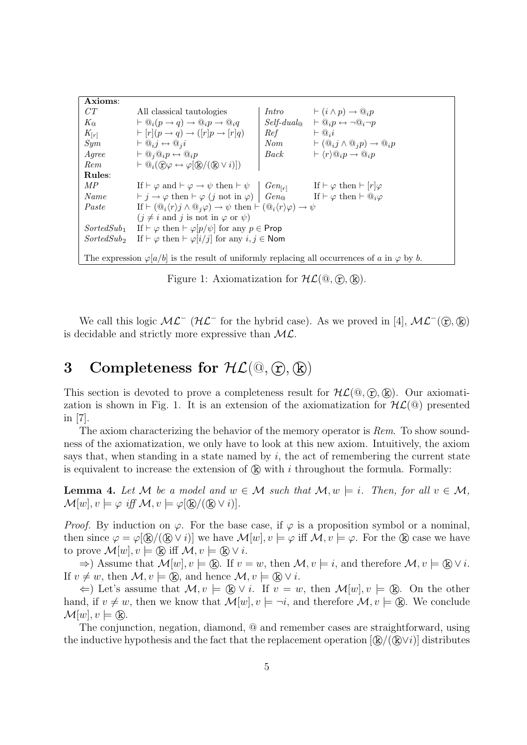Axioms: CT All classical tautologies  $K_{\mathbb{Q}}$   $\mapsto \mathbb{Q}_i(p \to q) \to \mathbb{Q}_i p \to \mathbb{Q}_i q$   $\downarrow$   $\begin{array}{c} \text{Intro} \\ \text{Self-dual}_{\mathbb{Q}} \to \mathbb{Q}_i p \leftrightarrow \neg \mathbb{Q}_i \to \mathbb{Q}_i p \end{array}$  $K_{\mathbb{Q}} \longrightarrow \mathbb{Q}_i(p \to q) \to \mathbb{Q}_i p \to \mathbb{Q}_i q$  $K_{[r]} \longrightarrow [r](p \rightarrow q) \rightarrow ([r]p \rightarrow [r]q) \mid Ref \longrightarrow [0,i]$  $Sym \rightarrow \Box_{ij} \leftrightarrow \Box_{ji}$   $\downarrow \text{}$   $Nom \rightarrow (\Box_{ij} \wedge \Box_{j} p) \rightarrow \Box_{i} p$ Agree ` @j@ip ↔ @ip Back ` hri@ip → @ip Rem  $\vdash \mathbb{Q}_i(\mathbb{C}\varphi \leftrightarrow \varphi[\mathbb{R}/(\mathbb{R}\vee i)])$ Rules:  $MP$  If  $\vdash \varphi$  and  $\vdash \varphi \rightarrow \psi$  then  $\vdash \psi \mid Gen_{[r]}$ If  $\vdash \varphi$  then  $\vdash [r]\varphi$  $Name \qquad \vdash j \to \varphi \text{ then } \vdash \varphi \ (j \text{ not in } \varphi) \mid Gen_{\mathcal{O}} \qquad \text{ If } \vdash \varphi \text{ then } \vdash @_{i}\varphi$ Paste If  $\vdash (\mathbb{Q}_i \langle r \rangle j \land \mathbb{Q}_j \varphi) \rightarrow \psi$  then  $\vdash (\mathbb{Q}_i \langle r \rangle \varphi) \rightarrow \psi$  $(j \neq i$  and j is not in  $\varphi$  or  $\psi$ ) SortedSub<sub>1</sub> If  $\vdash \varphi$  then  $\vdash \varphi$ [p/ $\psi$ ] for any  $p \in \mathsf{Prop}$ SortedSub<sub>2</sub> If  $\vdash \varphi$  then  $\vdash \varphi[i/j]$  for any  $i, j \in \mathsf{Nom}$ The expression  $\varphi[a/b]$  is the result of uniformly replacing all occurrences of a in  $\varphi$  by b.

Figure 1: Axiomatization for  $H\mathcal{L}(\mathbb{Q}, \widehat{\mathbb{r}}, \widehat{\mathbb{R}})$ .

We call this logic  $ML^-$  ( $HL^-$  for the hybrid case). As we proved in [4],  $ML^-(\mathcal{D}, \mathcal{R})$ is decidable and strictly more expressive than  $ML$ .

## 3 Completeness for  $H\mathcal{L}(\mathbb{Q}, \mathbb{T}, \mathbb{R})$

This section is devoted to prove a completeness result for  $H\mathcal{L}(\mathbb{Q}, \mathbb{R})$ . Our axiomatization is shown in Fig. 1. It is an extension of the axiomatization for  $H\mathcal{L}(\mathbb{Q})$  presented in [7].

The axiom characterizing the behavior of the memory operator is Rem. To show soundness of the axiomatization, we only have to look at this new axiom. Intuitively, the axiom says that, when standing in a state named by  $i$ , the act of remembering the current state is equivalent to increase the extension of  $\mathbb{R}$  with i throughout the formula. Formally:

**Lemma 4.** Let M be a model and  $w \in M$  such that  $M, w \models i$ . Then, for all  $v \in M$ ,  $\mathcal{M}[w], v \models \varphi \text{ iff } \mathcal{M}, v \models \varphi(\mathbb{R}/(\mathbb{R} \vee i)).$ 

*Proof.* By induction on  $\varphi$ . For the base case, if  $\varphi$  is a proposition symbol or a nominal, then since  $\varphi = \varphi(\mathbb{R})/(\mathbb{R} \vee i)$  we have  $\mathcal{M}[w], v \models \varphi$  iff  $\mathcal{M}, v \models \varphi$ . For the  $\mathbb{R}$  case we have to prove  $\mathcal{M}[w], v \models (\mathbb{R})$  iff  $\mathcal{M}, v \models (\mathbb{R}) \vee i$ .

 $\Rightarrow$ ) Assume that  $\mathcal{M}[w], v \models \mathbb{R}$ . If  $v = w$ , then  $\mathcal{M}, v \models i$ , and therefore  $\mathcal{M}, v \models \mathbb{R} \vee i$ . If  $v \neq w$ , then  $\mathcal{M}, v \models (\mathbf{k})$ , and hence  $\mathcal{M}, v \models (\mathbf{k}) \vee i$ .

 $\Leftarrow$ ) Let's assume that  $\mathcal{M}, v \models \mathbb{R} \vee i$ . If  $v = w$ , then  $\mathcal{M}[w], v \models \mathbb{R}$ . On the other hand, if  $v \neq w$ , then we know that  $\mathcal{M}[w], v \models \neg i$ , and therefore  $\mathcal{M}, v \models (\mathbb{R})$ . We conclude  $\mathcal{M}[w], v \models (\mathbf{k}).$ 

The conjunction, negation, diamond, @ and remember cases are straightforward, using the inductive hypothesis and the fact that the replacement operation  $[({\bf k})/({\bf k})\vee i]$  distributes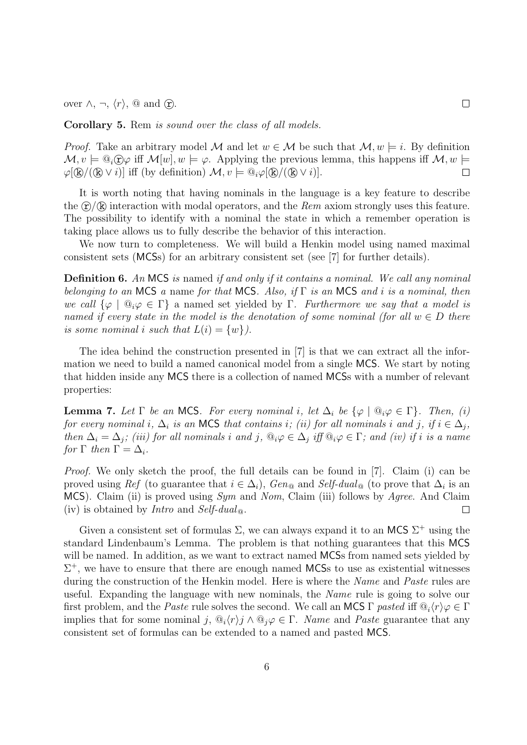over  $\wedge$ ,  $\neg$ ,  $\langle r \rangle$ , @ and  $\hat{r}$ .

Corollary 5. Rem is sound over the class of all models.

*Proof.* Take an arbitrary model M and let  $w \in M$  be such that  $M, w \models i$ . By definition  $\mathcal{M}, v \models \mathbb{Q}_i \cap \varphi$  iff  $\mathcal{M}[w], w \models \varphi$ . Applying the previous lemma, this happens iff  $\mathcal{M}, w \models$  $\varphi[\mathbb{R}/(\mathbb{R}\vee i)]$  iff (by definition)  $\mathcal{M}, v \models \mathbb{Q}_i \varphi[\mathbb{R}/(\mathbb{R}\vee i)]$ .  $\Box$ 

It is worth noting that having nominals in the language is a key feature to describe the  $\hat{\tau}/\hat{\mathbb{R}}$  interaction with modal operators, and the Rem axiom strongly uses this feature. The possibility to identify with a nominal the state in which a remember operation is taking place allows us to fully describe the behavior of this interaction.

We now turn to completeness. We will build a Henkin model using named maximal consistent sets (MCSs) for an arbitrary consistent set (see [7] for further details).

**Definition 6.** An MCS is named if and only if it contains a nominal. We call any nominal belonging to an MCS a name for that MCS. Also, if  $\Gamma$  is an MCS and i is a nominal, then we call  $\{\varphi \mid \mathbb{Q}_i\varphi \in \Gamma\}$  a named set yielded by  $\Gamma$ . Furthermore we say that a model is named if every state in the model is the denotation of some nominal (for all  $w \in D$  there is some nominal i such that  $L(i) = \{w\}$ .

The idea behind the construction presented in [7] is that we can extract all the information we need to build a named canonical model from a single MCS. We start by noting that hidden inside any MCS there is a collection of named MCSs with a number of relevant properties:

**Lemma 7.** Let  $\Gamma$  be an MCS. For every nominal i, let  $\Delta_i$  be  $\{\varphi \mid \mathbb{Q}_i\varphi \in \Gamma\}$ . Then, (i) for every nominal i,  $\Delta_i$  is an MCS that contains i; (ii) for all nominals i and j, if  $i \in \Delta_i$ , then  $\Delta_i = \Delta_j$ ; (iii) for all nominals i and j,  $\mathbb{Q}_i \varphi \in \Delta_j$  iff  $\mathbb{Q}_i \varphi \in \Gamma$ ; and (iv) if i is a name for  $\Gamma$  then  $\Gamma = \Delta_i$ .

Proof. We only sketch the proof, the full details can be found in [7]. Claim (i) can be proved using Ref (to guarantee that  $i \in \Delta_i$ ), Gen<sub>@</sub> and Self-dual<sub>@</sub> (to prove that  $\Delta_i$  is an MCS). Claim (ii) is proved using Sym and Nom, Claim (iii) follows by Agree. And Claim (iv) is obtained by *Intro* and *Self-dual*  $\omega$ .  $\Box$ 

Given a consistent set of formulas  $\Sigma$ , we can always expand it to an MCS  $\Sigma^+$  using the standard Lindenbaum's Lemma. The problem is that nothing guarantees that this MCS will be named. In addition, as we want to extract named MCSs from named sets yielded by  $\Sigma^{+}$ , we have to ensure that there are enough named MCSs to use as existential witnesses during the construction of the Henkin model. Here is where the *Name* and *Paste* rules are useful. Expanding the language with new nominals, the Name rule is going to solve our first problem, and the Paste rule solves the second. We call an MCS Γ pasted iff  $\mathbb{Q}_i(r)\varphi \in \Gamma$ implies that for some nominal j,  $\mathbb{Q}_i(r)$   $\wedge \mathbb{Q}_i\varphi \in \Gamma$ . Name and Paste guarantee that any consistent set of formulas can be extended to a named and pasted MCS.

6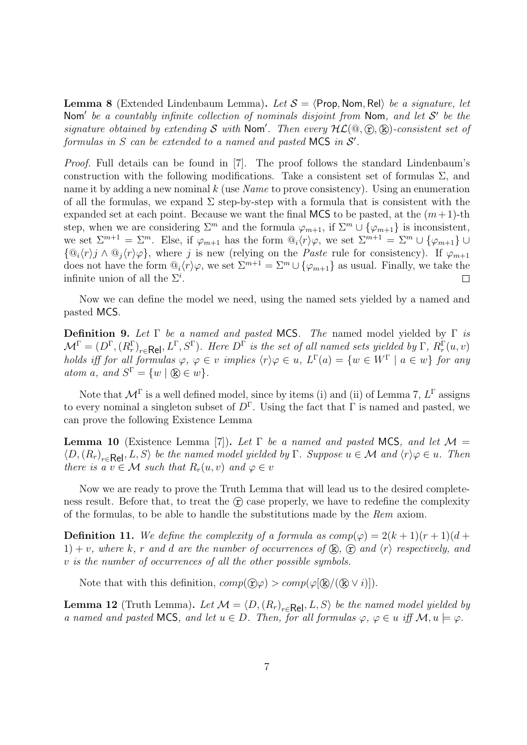**Lemma 8** (Extended Lindenbaum Lemma). Let  $S = \langle$ Prop, Nom, Rel $\rangle$  be a signature, let Nom' be a countably infinite collection of nominals disjoint from Nom, and let  $S'$  be the signature obtained by extending S with Nom'. Then every  $HL(\mathbb{Q}, \mathbb{C}), \mathbb{R}$ )-consistent set of formulas in  $S$  can be extended to a named and pasted MCS in  $S'$ .

Proof. Full details can be found in [7]. The proof follows the standard Lindenbaum's construction with the following modifications. Take a consistent set of formulas  $\Sigma$ , and name it by adding a new nominal  $k$  (use Name to prove consistency). Using an enumeration of all the formulas, we expand  $\Sigma$  step-by-step with a formula that is consistent with the expanded set at each point. Because we want the final MCS to be pasted, at the  $(m+1)$ -th step, when we are considering  $\Sigma^m$  and the formula  $\varphi_{m+1}$ , if  $\Sigma^m \cup {\varphi_{m+1}}$  is inconsistent, we set  $\Sigma^{m+1} = \Sigma^m$ . Else, if  $\varphi_{m+1}$  has the form  $\mathbb{Q}_i\langle r \rangle \varphi$ , we set  $\Sigma^{m+1} = \Sigma^m \cup \{\varphi_{m+1}\} \cup$  $\{\mathbb{Q}_i \langle r \rangle j \wedge \mathbb{Q}_j \langle r \rangle \varphi\}$ , where j is new (relying on the *Paste* rule for consistency). If  $\varphi_{m+1}$ does not have the form  $\mathbb{Q}_i\langle r\rangle\varphi$ , we set  $\Sigma^{m+1} = \Sigma^m \cup \{\varphi_{m+1}\}\$ as usual. Finally, we take the infinite union of all the  $\Sigma^i$ .  $\Box$ 

Now we can define the model we need, using the named sets yielded by a named and pasted MCS.

**Definition 9.** Let  $\Gamma$  be a named and pasted MCS. The named model yielded by  $\Gamma$  is  $\mathcal{M}^{\Gamma} = (D^{\Gamma}, (R^{\Gamma}_{r})_{r \in \mathsf{Rel}}, L^{\Gamma}, S^{\Gamma}).$  Here  $D^{\Gamma}$  is the set of all named sets yielded by  $\Gamma, R^{\Gamma}_{r}(u, v)$ holds iff for all formulas  $\varphi, \varphi \in v$  implies  $\langle r \rangle \varphi \in u$ ,  $L^{\Gamma}(a) = \{w \in W^{\Gamma} \mid a \in w\}$  for any atom a, and  $S^{\Gamma} = \{w \mid \mathcal{R} \in w\}.$ 

Note that  $\mathcal{M}^{\Gamma}$  is a well defined model, since by items (i) and (ii) of Lemma 7,  $L^{\Gamma}$  assigns to every nominal a singleton subset of  $D^{\Gamma}$ . Using the fact that  $\Gamma$  is named and pasted, we can prove the following Existence Lemma

**Lemma 10** (Existence Lemma [7]). Let  $\Gamma$  be a named and pasted MCS, and let  $\mathcal{M} =$  $\langle D, (R_r)_{r \in \text{Rel}}, L, S \rangle$  be the named model yielded by  $\Gamma$ . Suppose  $u \in \mathcal{M}$  and  $\langle r \rangle \varphi \in u$ . Then there is a  $v \in \mathcal{M}$  such that  $R_r(u, v)$  and  $\varphi \in v$ 

Now we are ready to prove the Truth Lemma that will lead us to the desired completeness result. Before that, to treat the  $(F)$  case properly, we have to redefine the complexity of the formulas, to be able to handle the substitutions made by the Rem axiom.

**Definition 11.** We define the complexity of a formula as  $comp(\varphi) = 2(k+1)(r+1)(d+1)$ 1) + v, where k, r and d are the number of occurrences of  $(\mathbf{k})$ ,  $(\mathbf{\hat{r}})$  and  $\langle r \rangle$  respectively, and v is the number of occurrences of all the other possible symbols.

Note that with this definition,  $comp(\mathcal{D}\varphi) > comp(\varphi(\mathbb{R})/(\mathbb{R} \vee i))$ .

**Lemma 12** (Truth Lemma). Let  $M = \langle D, (R_r)_{r \in \mathsf{Rel}}, L, S \rangle$  be the named model yielded by a named and pasted MCS, and let  $u \in D$ . Then, for all formulas  $\varphi, \varphi \in u$  iff  $\mathcal{M}, u \models \varphi$ .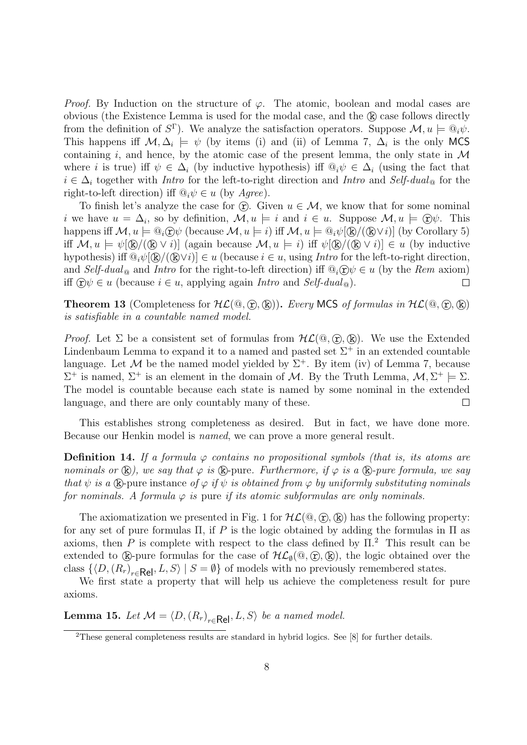*Proof.* By Induction on the structure of  $\varphi$ . The atomic, boolean and modal cases are obvious (the Existence Lemma is used for the modal case, and the  $(k)$  case follows directly from the definition of  $S^{\Gamma}$ ). We analyze the satisfaction operators. Suppose  $\mathcal{M}, u \models \mathbb{Q}_i \psi$ . This happens iff  $\mathcal{M}, \Delta_i \models \psi$  (by items (i) and (ii) of Lemma 7,  $\Delta_i$  is the only MCS containing i, and hence, by the atomic case of the present lemma, the only state in  $\mathcal M$ where i is true) iff  $\psi \in \Delta_i$  (by inductive hypothesis) iff  $\mathbb{Q}_i \psi \in \Delta_i$  (using the fact that  $i \in \Delta_i$  together with Intro for the left-to-right direction and Intro and Self-dual<sub>®</sub> for the right-to-left direction) iff  $\mathbb{Q}_i \psi \in u$  (by Agree).

To finish let's analyze the case for  $\hat{\tau}$ . Given  $u \in M$ , we know that for some nominal *i* we have  $u = \Delta_i$ , so by definition,  $\mathcal{M}, u \models i$  and  $i \in u$ . Suppose  $\mathcal{M}, u \models \bigoplus \psi$ . This happens iff  $\mathcal{M}, u \models \mathbb{Q}_i \widehat{\mathcal{D}} \psi$  (because  $\mathcal{M}, u \models i$ ) iff  $\mathcal{M}, u \models \mathbb{Q}_i \psi[\mathbb{R}/(\mathbb{R} \vee i)]$  (by Corollary 5) iff  $\mathcal{M}, u \models \psi(\mathbb{R}/(\mathbb{R} \vee i))$  (again because  $\mathcal{M}, u \models i$ ) iff  $\psi(\mathbb{R}/(\mathbb{R} \vee i)) \in u$  (by inductive hypothesis) iff  $\mathbb{Q}_i \psi[\mathbb{R}/(\mathbb{Q} \vee i)] \in u$  (because  $i \in u$ , using *Intro* for the left-to-right direction, and Self-dual<sub>®</sub> and Intro for the right-to-left direction) iff  $\mathcal{Q}_i(\hat{\mathbf{r}})\psi \in u$  (by the Rem axiom) iff  $\widehat{\mathbf{r}}$   $\forall \psi \in u$  (because  $i \in u$ , applying again *Intro* and *Self-dual*  $_{\odot}$ ).  $\Box$ 

**Theorem 13** (Completeness for  $HL(\mathbb{Q}, \hat{T}, \hat{R})$ ). Every MCS of formulas in  $HL(\mathbb{Q}, \hat{T}, \hat{R})$ is satisfiable in a countable named model.

*Proof.* Let  $\Sigma$  be a consistent set of formulas from  $H\mathcal{L}(\mathbb{Q}, \Omega, \mathbb{R})$ . We use the Extended Lindenbaum Lemma to expand it to a named and pasted set  $\Sigma^+$  in an extended countable language. Let M be the named model yielded by  $\Sigma^+$ . By item (iv) of Lemma 7, because  $\Sigma^+$  is named,  $\Sigma^+$  is an element in the domain of M. By the Truth Lemma,  $\mathcal{M}, \Sigma^+ \models \Sigma$ . The model is countable because each state is named by some nominal in the extended language, and there are only countably many of these.  $\Box$ 

This establishes strong completeness as desired. But in fact, we have done more. Because our Henkin model is named, we can prove a more general result.

**Definition 14.** If a formula  $\varphi$  contains no propositional symbols (that is, its atoms are nominals or  $(\mathbf{k})$ , we say that  $\varphi$  is  $(\mathbf{k})$ -pure. Furthermore, if  $\varphi$  is a  $(\mathbf{k})$ -pure formula, we say that  $\psi$  is a  $\mathbb{R}$ -pure instance of  $\varphi$  if  $\psi$  is obtained from  $\varphi$  by uniformly substituting nominals for nominals. A formula  $\varphi$  is pure if its atomic subformulas are only nominals.

The axiomatization we presented in Fig. 1 for  $HL(\mathbb{Q}, \hat{\Omega}, \hat{\mathbb{R}})$  has the following property: for any set of pure formulas  $\Pi$ , if P is the logic obtained by adding the formulas in  $\Pi$  as axioms, then P is complete with respect to the class defined by  $\Pi$ <sup>2</sup>. This result can be extended to  $(\mathbf{k})$ -pure formulas for the case of  $\mathcal{HL}_{\emptyset}(\mathbb{Q}, \widehat{\mathbb{C}})$ ,  $(\mathbf{k})$ , the logic obtained over the class  $\{\langle D, (R_r)_{r \in \mathsf{Rel}}, L, S \rangle \mid S = \emptyset\}$  of models with no previously remembered states.

We first state a property that will help us achieve the completeness result for pure axioms.

**Lemma 15.** Let  $\mathcal{M} = \langle D, (R_r)_{r \in \mathsf{Rel}}, L, S \rangle$  be a named model.

<sup>2</sup>These general completeness results are standard in hybrid logics. See [8] for further details.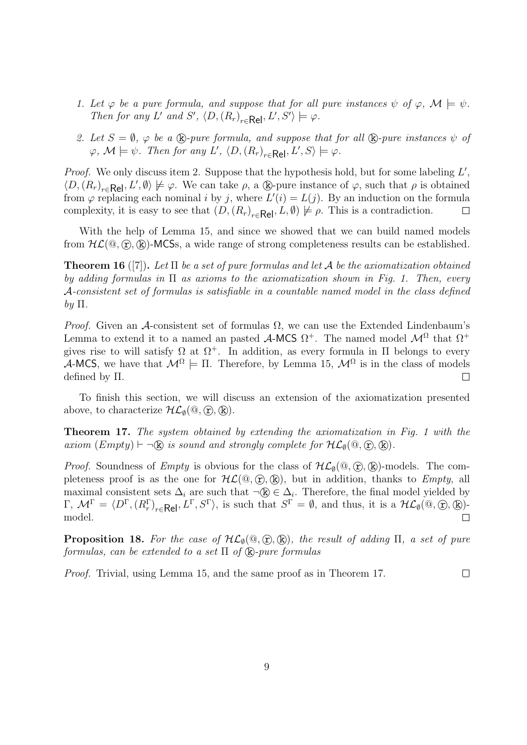- 1. Let  $\varphi$  be a pure formula, and suppose that for all pure instances  $\psi$  of  $\varphi$ ,  $\mathcal{M} \models \psi$ . Then for any L' and S',  $\langle D, (R_r)_{r \in \text{Rel}}, L', S' \rangle \models \varphi$ .
- 2. Let  $S = \emptyset$ ,  $\varphi$  be a  $\mathbb{R}$ -pure formula, and suppose that for all  $\mathbb{R}$ -pure instances  $\psi$  of  $\varphi$ ,  $\mathcal{M} \models \psi$ . Then for any L',  $\langle D, (R_r)_{r \in \textsf{Rel}}, L', S \rangle \models \varphi$ .

*Proof.* We only discuss item 2. Suppose that the hypothesis hold, but for some labeling  $L'$ ,  $\langle D, (R_r)_{r \in \mathsf{Rel}}, L', \emptyset \rangle \not\models \varphi$ . We can take  $\rho$ , a  $\mathbb{Q}_p$ -pure instance of  $\varphi$ , such that  $\rho$  is obtained from  $\varphi$  replacing each nominal i by j, where  $L'(i) = L(j)$ . By an induction on the formula complexity, it is easy to see that  $(D,(R_r)_{r \in \text{Rel}}, L, \emptyset) \not\models \rho$ . This is a contradiction.  $\Box$ 

With the help of Lemma 15, and since we showed that we can build named models from  $\mathcal{HL}(\mathbb{Q}, \mathbb{R})$ -MCSs, a wide range of strong completeness results can be established.

**Theorem 16** ([7]). Let  $\Pi$  be a set of pure formulas and let A be the axiomatization obtained by adding formulas in  $\Pi$  as axioms to the axiomatization shown in Fig. 1. Then, every A-consistent set of formulas is satisfiable in a countable named model in the class defined by  $\Pi$ .

*Proof.* Given an A-consistent set of formulas  $\Omega$ , we can use the Extended Lindenbaum's Lemma to extend it to a named an pasted  $\mathcal{A}\text{-MCS }\Omega^+$ . The named model  $\mathcal{M}^{\Omega}$  that  $\Omega^+$ gives rise to will satisfy  $\Omega$  at  $\Omega^+$ . In addition, as every formula in  $\Pi$  belongs to every A-MCS, we have that  $\mathcal{M}^{\Omega} \models \Pi$ . Therefore, by Lemma 15,  $\mathcal{M}^{\Omega}$  is in the class of models defined by Π.  $\Box$ 

To finish this section, we will discuss an extension of the axiomatization presented above, to characterize  $\mathcal{HL}_{\emptyset}(\mathbb{Q}, \mathbb{C}), \mathbb{R}$ ).

Theorem 17. The system obtained by extending the axiomatization in Fig. 1 with the axiom  $(Empty) \vdash \neg (k)$  is sound and strongly complete for  $H\mathcal{L}_{\emptyset}(\mathcal{Q}, \mathcal{F}), (k)$ .

*Proof.* Soundness of *Empty* is obvious for the class of  $H\mathcal{L}_{\emptyset}(\mathbb{Q}, \widehat{\mathbb{r}}, \widehat{\mathbb{R}})$ -models. The completeness proof is as the one for  $H\mathcal{L}(\mathbb{Q}, \mathbb{R})$ , but in addition, thanks to *Empty*, all maximal consistent sets  $\Delta_i$  are such that  $\neg \mathbb{R} \in \Delta_i$ . Therefore, the final model yielded by  $\Gamma, \mathcal{M}^{\Gamma} = \langle D^{\Gamma}, (R_r^{\Gamma})_{r \in \mathsf{Rel}}, L^{\Gamma}, S^{\Gamma} \rangle$ , is such that  $S^{\Gamma} = \emptyset$ , and thus, it is a  $\mathcal{HL}_{\emptyset}(\mathbb{Q}, \mathbb{Q}, \mathbb{Q})$ . model.  $\Box$ 

**Proposition 18.** For the case of  $H\mathcal{L}_{\emptyset}(\mathbb{Q}, \widehat{\mathbb{r}}, \mathbb{R})$ , the result of adding  $\Pi$ , a set of pure formulas, can be extended to a set  $\Pi$  of  $(\hat{\mathbf{k}})$ -pure formulas

Proof. Trivial, using Lemma 15, and the same proof as in Theorem 17.  $\Box$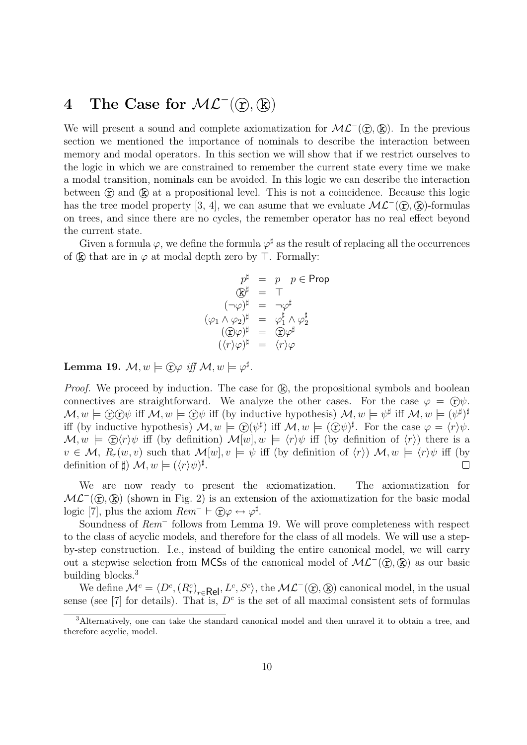# 4 The Case for  $\mathcal{ML}^-(\mathcal{D}, \mathbb{Q})$

We will present a sound and complete axiomatization for  $\mathcal{ML}^-(\mathcal{D}, \mathbb{R})$ . In the previous section we mentioned the importance of nominals to describe the interaction between memory and modal operators. In this section we will show that if we restrict ourselves to the logic in which we are constrained to remember the current state every time we make a modal transition, nominals can be avoided. In this logic we can describe the interaction between  $(F)$  and  $(F)$  at a propositional level. This is not a coincidence. Because this logic has the tree model property [3, 4], we can asume that we evaluate  $\mathcal{ML}^-(\mathcal{D}, \mathbb{R})$ -formulas on trees, and since there are no cycles, the remember operator has no real effect beyond the current state.

Given a formula  $\varphi$ , we define the formula  $\varphi^{\sharp}$  as the result of replacing all the occurrences of  $(\mathbb{R})$  that are in  $\varphi$  at modal depth zero by  $\top$ . Formally:

$$
p^{\sharp} = p \quad p \in \text{Prop}
$$
\n
$$
\textcircled{k}^{\sharp} = \top
$$
\n
$$
(\neg \varphi)^{\sharp} = \neg \varphi^{\sharp}
$$
\n
$$
(\varphi_1 \land \varphi_2)^{\sharp} = \varphi_1^{\sharp} \land \varphi_2^{\sharp}
$$
\n
$$
(\textcircled{F}\varphi)^{\sharp} = \textcircled{F}\varphi^{\sharp}
$$
\n
$$
(\langle r \rangle \varphi)^{\sharp} = \langle r \rangle \varphi
$$

Lemma 19.  $\mathcal{M}, w \models \textcircled{r}\varphi \text{ iff } \mathcal{M}, w \models \varphi^{\sharp}.$ 

*Proof.* We proceed by induction. The case for  $(k)$ , the propositional symbols and boolean connectives are straightforward. We analyze the other cases. For the case  $\varphi = \hat{r}$  $\mathcal{M}, w \models \textcircled{r} \mathfrak{D} \psi \text{ iff } \mathcal{M}, w \models \textcircled{r} \psi \text{ iff (by inductive hypothesis)} \mathcal{M}, w \models \psi^{\sharp} \text{ iff } \mathcal{M}, w \models (\psi^{\sharp})^{\sharp}$ iff (by inductive hypothesis)  $\mathcal{M}, w \models \mathcal{D}(\psi^{\sharp})$  iff  $\mathcal{M}, w \models (\mathcal{D}\psi)^{\sharp}$ . For the case  $\varphi = \langle r \rangle \psi$ .  $\mathcal{M}, w \models \hat{C}(r)\psi$  iff (by definition)  $\mathcal{M}[w], w \models \langle r \rangle \psi$  iff (by definition of  $\langle r \rangle$ ) there is a  $v \in \mathcal{M}, R_r(w, v)$  such that  $\mathcal{M}[w], v \models \psi$  iff (by definition of  $\langle r \rangle$ )  $\mathcal{M}, w \models \langle r \rangle \psi$  iff (by definition of  $\sharp$ )  $\mathcal{M}, w \models (\langle r \rangle \psi)^{\sharp}$ .  $\Box$ 

We are now ready to present the axiomatization. The axiomatization for  $ML^-(\mathcal{D},\mathbb{R})$  (shown in Fig. 2) is an extension of the axiomatization for the basic modal logic [7], plus the axiom  $Rem^- \vdash \textcircled{r}\varphi \leftrightarrow \varphi^{\sharp}$ .

Soundness of Rem<sup>−</sup> follows from Lemma 19. We will prove completeness with respect to the class of acyclic models, and therefore for the class of all models. We will use a stepby-step construction. I.e., instead of building the entire canonical model, we will carry out a stepwise selection from MCSs of the canonical model of  $ML<sup>-</sup>( $\mathcal{D}$ ,  $\mathcal{D}$ )$  as our basic building blocks.<sup>3</sup>

We define  $\mathcal{M}^c = \langle D^c, (R_r^c)_{r \in \mathsf{Rel}}, L^c, S^c \rangle$ , the  $\mathcal{ML}^-(\mathfrak{D}, \mathbb{Q})$  canonical model, in the usual sense (see [7] for details). That is,  $D<sup>c</sup>$  is the set of all maximal consistent sets of formulas

<sup>3</sup>Alternatively, one can take the standard canonical model and then unravel it to obtain a tree, and therefore acyclic, model.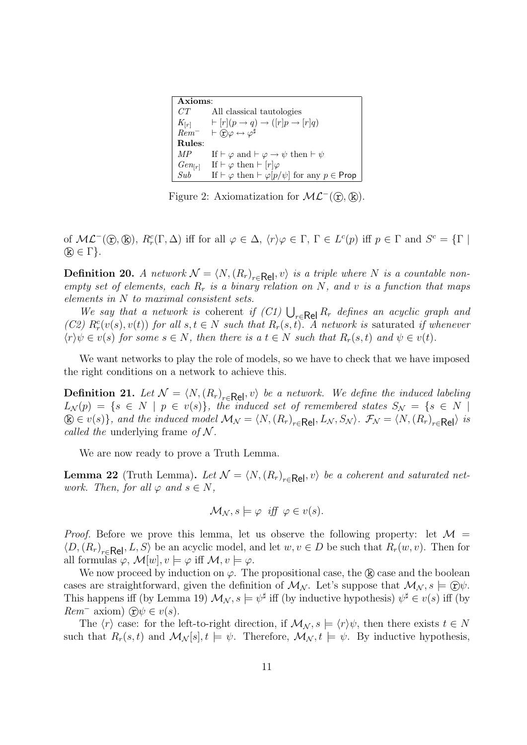| Axioms      |                                                                                    |
|-------------|------------------------------------------------------------------------------------|
| CT          | All classical tautologies                                                          |
|             | $K_{[r]} \longrightarrow [r](p \rightarrow q) \rightarrow ([r]p \rightarrow [r]q)$ |
| $Rem^-$     | $\vdash$ $\overline{(r)}\varphi \leftrightarrow \varphi^{\sharp}$                  |
| Rules:      |                                                                                    |
| MР          | If $\vdash \varphi$ and $\vdash \varphi \rightarrow \psi$ then $\vdash \psi$       |
| $Gen_{[r]}$ | If $\vdash \varphi$ then $\vdash [r]\varphi$                                       |
| Sub         | If $\vdash \varphi$ then $\vdash \varphi[p/\psi]$ for any $p \in \mathsf{Prop}$    |

Figure 2: Axiomatization for  $\mathcal{ML}^-(\mathcal{D}, \mathbb{R})$ .

of  $\mathcal{ML}^-(\mathbb{Q}, \mathbb{Q})$ ,  $R_r^c(\Gamma, \Delta)$  iff for all  $\varphi \in \Delta$ ,  $\langle r \rangle \varphi \in \Gamma$ ,  $\Gamma \in L^c(p)$  iff  $p \in \Gamma$  and  $S^c = \{ \Gamma \mid \varphi \in \Lambda \}$  $(\mathbb{k}) \in \Gamma$ .

**Definition 20.** A network  $\mathcal{N} = \langle N, (R_r)_{r \in \text{Rel}}, v \rangle$  is a triple where N is a countable nonempty set of elements, each  $R_r$  is a binary relation on N, and v is a function that maps elements in N to maximal consistent sets.

We say that a network is coherent if  $(C_1) \bigcup_{r \in \mathsf{Rel}} R_r$  defines an acyclic graph and (C2)  $R_r^c(v(s), v(t))$  for all  $s, t \in N$  such that  $R_r(s, t)$ . A network is saturated if whenever  $\langle r \rangle \psi \in v(s)$  for some  $s \in N$ , then there is a  $t \in N$  such that  $R_r(s,t)$  and  $\psi \in v(t)$ .

We want networks to play the role of models, so we have to check that we have imposed the right conditions on a network to achieve this.

**Definition 21.** Let  $\mathcal{N} = \langle N, (R_r)_{r \in \mathbf{Rel}}, v \rangle$  be a network. We define the induced labeling  $L_{\mathcal{N}}(p) = \{s \in N \mid p \in v(s)\},\;$  the induced set of remembered states  $S_{\mathcal{N}} = \{s \in N \mid p \in v(s)\}$  $k \in V(s)$ , and the induced model  $\mathcal{M}_{\mathcal{N}} = \langle N, (R_r)_{r \in \mathsf{Rel}}, L_{\mathcal{N}}, S_{\mathcal{N}} \rangle$ .  $\mathcal{F}_{\mathcal{N}} = \langle N, (R_r)_{r \in \mathsf{Rel}} \rangle$  is called the underlying frame of  $N$ .

We are now ready to prove a Truth Lemma.

**Lemma 22** (Truth Lemma). Let  $\mathcal{N} = \langle N, (R_r)_{r \in \mathsf{Rel}}, v \rangle$  be a coherent and saturated network. Then, for all  $\varphi$  and  $s \in N$ ,

$$
\mathcal{M}_{\mathcal{N}}, s \models \varphi \text{ iff } \varphi \in v(s).
$$

*Proof.* Before we prove this lemma, let us observe the following property: let  $\mathcal{M} =$  $\langle D, (R_r)_{r \in \mathsf{Rel}}, L, S \rangle$  be an acyclic model, and let  $w, v \in D$  be such that  $R_r(w, v)$ . Then for all formulas  $\varphi$ ,  $\mathcal{M}[w], v \models \varphi$  iff  $\mathcal{M}, v \models \varphi$ .

We now proceed by induction on  $\varphi$ . The propositional case, the  $(\mathbf{k})$  case and the boolean cases are straightforward, given the definition of  $\mathcal{M}_{\mathcal{N}}$ . Let's suppose that  $\mathcal{M}_{\mathcal{N}}$ ,  $s \models \widehat{r}$ This happens iff (by Lemma 19)  $\mathcal{M}_{\mathcal{N}}$ ,  $s \models \psi^{\sharp}$  iff (by inductive hypothesis)  $\psi^{\sharp} \in v(s)$  iff (by  $Rem^-$  axiom)  $\widehat{r}$   $\psi \in v(s)$ .

The  $\langle r \rangle$  case: for the left-to-right direction, if  $\mathcal{M}_{\mathcal{N}}$ ,  $s \models \langle r \rangle \psi$ , then there exists  $t \in \mathcal{N}$ such that  $R_r(s,t)$  and  $\mathcal{M}_\mathcal{N}[s], t \models \psi$ . Therefore,  $\mathcal{M}_\mathcal{N}, t \models \psi$ . By inductive hypothesis,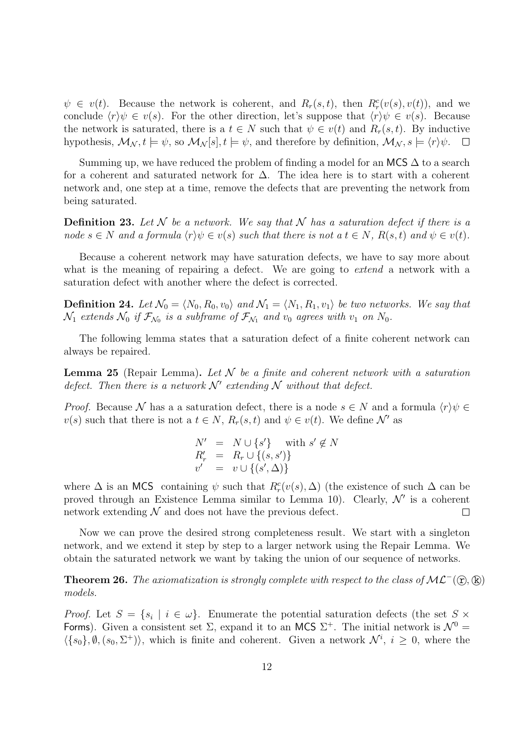$\psi \in v(t)$ . Because the network is coherent, and  $R_r(s,t)$ , then  $R_r^c(v(s), v(t))$ , and we conclude  $\langle r \rangle \psi \in v(s)$ . For the other direction, let's suppose that  $\langle r \rangle \psi \in v(s)$ . Because the network is saturated, there is a  $t \in N$  such that  $\psi \in v(t)$  and  $R_r(s,t)$ . By inductive hypothesis,  $\mathcal{M}_{\mathcal{N}}$ ,  $t \models \psi$ , so  $\mathcal{M}_{\mathcal{N}}[s], t \models \psi$ , and therefore by definition,  $\mathcal{M}_{\mathcal{N}}$ ,  $s \models \langle r \rangle \psi$ .  $\Box$ 

Summing up, we have reduced the problem of finding a model for an MCS  $\Delta$  to a search for a coherent and saturated network for ∆. The idea here is to start with a coherent network and, one step at a time, remove the defects that are preventing the network from being saturated.

**Definition 23.** Let  $N$  be a network. We say that  $N$  has a saturation defect if there is a node  $s \in N$  and a formula  $\langle r \rangle \psi \in v(s)$  such that there is not a  $t \in N$ ,  $R(s,t)$  and  $\psi \in v(t)$ .

Because a coherent network may have saturation defects, we have to say more about what is the meaning of repairing a defect. We are going to *extend* a network with a saturation defect with another where the defect is corrected.

**Definition 24.** Let  $\mathcal{N}_0 = \langle N_0, R_0, v_0 \rangle$  and  $\mathcal{N}_1 = \langle N_1, R_1, v_1 \rangle$  be two networks. We say that  $\mathcal{N}_1$  extends  $\mathcal{N}_0$  if  $\mathcal{F}_{\mathcal{N}_0}$  is a subframe of  $\mathcal{F}_{\mathcal{N}_1}$  and  $v_0$  agrees with  $v_1$  on  $N_0$ .

The following lemma states that a saturation defect of a finite coherent network can always be repaired.

**Lemma 25** (Repair Lemma). Let N be a finite and coherent network with a saturation defect. Then there is a network  $\mathcal{N}'$  extending  $\mathcal N$  without that defect.

*Proof.* Because N has a a saturation defect, there is a node  $s \in N$  and a formula  $\langle r \rangle \psi \in$  $v(s)$  such that there is not a  $t \in N$ ,  $R_r(s,t)$  and  $\psi \in v(t)$ . We define N' as

$$
N' = N \cup \{s'\} \text{ with } s' \notin N
$$
  
\n
$$
R'_r = R_r \cup \{(s, s')\}
$$
  
\n
$$
v' = v \cup \{(s', \Delta)\}
$$

where  $\Delta$  is an MCS containing  $\psi$  such that  $R_r^c(v(s), \Delta)$  (the existence of such  $\Delta$  can be proved through an Existence Lemma similar to Lemma 10). Clearly,  $\mathcal{N}'$  is a coherent network extending  $N$  and does not have the previous defect.  $\Box$ 

Now we can prove the desired strong completeness result. We start with a singleton network, and we extend it step by step to a larger network using the Repair Lemma. We obtain the saturated network we want by taking the union of our sequence of networks.

**Theorem 26.** The axiomatization is strongly complete with respect to the class of  $ML^-(\mathcal{D}, \mathbb{R})$ models.

*Proof.* Let  $S = \{s_i \mid i \in \omega\}$ . Enumerate the potential saturation defects (the set  $S \times$ Forms). Given a consistent set  $\Sigma$ , expand it to an MCS  $\Sigma^+$ . The initial network is  $\mathcal{N}^0$  =  $\langle \{s_0\}, \emptyset, (s_0, \Sigma^+) \rangle$ , which is finite and coherent. Given a network  $\mathcal{N}^i$ ,  $i \geq 0$ , where the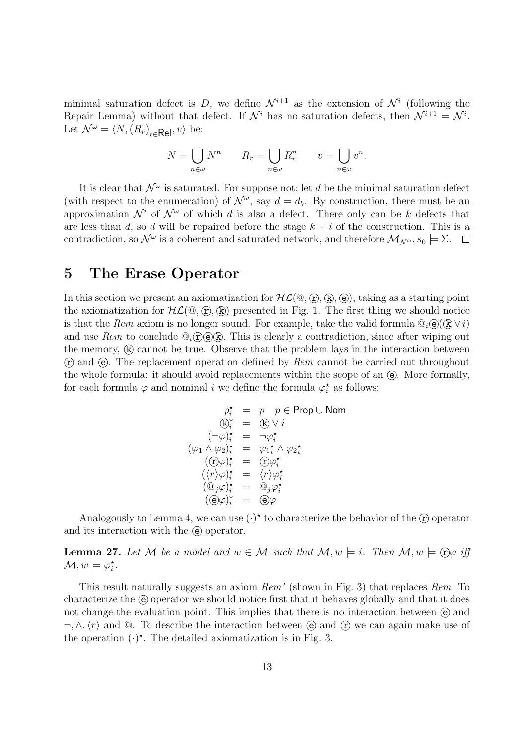minimal saturation defect is D, we define  $\mathcal{N}^{i+1}$  as the extension of  $\mathcal{N}^i$  (following the Repair Lemma) without that defect. If  $\mathcal{N}^i$  has no saturation defects, then  $\mathcal{N}^{i+1} = \mathcal{N}^i$ . Let  $\mathcal{N}^{\omega} = \langle N, (R_r)_{r \in \mathsf{Rel}}, v \rangle$  be:

$$
N = \bigcup_{n \in \omega} N^n \qquad R_r = \bigcup_{n \in \omega} R_r^n \qquad v = \bigcup_{n \in \omega} v^n.
$$

It is clear that  $\mathcal{N}^{\omega}$  is saturated. For suppose not; let d be the minimal saturation defect (with respect to the enumeration) of  $\mathcal{N}^{\omega}$ , say  $d = d_k$ . By construction, there must be an approximation  $\mathcal{N}^i$  of  $\mathcal{N}^{\omega}$  of which d is also a defect. There only can be k defects that are less than d, so d will be repaired before the stage  $k + i$  of the construction. This is a contradiction, so  $\mathcal{N}^{\omega}$  is a coherent and saturated network, and therefore  $\mathcal{M}_{\mathcal{N}^{\omega}}$ ,  $s_0 \models \Sigma$ .

### 5 The Erase Operator

In this section we present an axiomatization for  $HL(\mathbb{Q}, \hat{\Omega}, \hat{\mathbb{R}})$ , (e), taking as a starting point the axiomatization for  $H\mathcal{L}(\mathbb{Q}, \mathbb{F}, \mathbb{R})$  presented in Fig. 1. The first thing we should notice is that the Rem axiom is no longer sound. For example, take the valid formula  $\mathbb{Q}_i(\mathbb{Q}) \setminus i$ and use Rem to conclude  $\mathbb{Q}_i$   $\widehat{\mathbb{C}}(\widehat{\Theta}(\widehat{\mathbb{R}}))$ . This is clearly a contradiction, since after wiping out the memory,  $\mathbb R$  cannot be true. Observe that the problem lays in the interaction between  $\hat{r}$  and  $\hat{e}$ . The replacement operation defined by Rem cannot be carried out throughout the whole formula: it should avoid replacements within the scope of an  $\epsilon$ . More formally, for each formula  $\varphi$  and nominal *i* we define the formula  $\varphi_i^*$  as follows:

$$
p_i^* = p \quad p \in \text{Prop} \cup \text{Nom}
$$
  
\n
$$
\mathbb{Q}_i^* = \mathbb{Q} \vee i
$$
  
\n
$$
(\neg \varphi)_i^* = \neg \varphi_i^*
$$
  
\n
$$
(\varphi_1 \wedge \varphi_2)_i^* = \varphi_1_i^* \wedge \varphi_2_i^*
$$
  
\n
$$
(\mathbb{C} \varphi)_i^* = \mathbb{C} \varphi_i^*
$$
  
\n
$$
(\langle r \rangle \varphi)_i^* = \langle r \rangle \varphi_i^*
$$
  
\n
$$
(\mathbb{Q}_j \varphi)_i^* = \mathbb{Q}_j \varphi_i^*
$$
  
\n
$$
(\mathbb{Q} \varphi)_i^* = \mathbb{Q} \varphi
$$

Analogously to Lemma 4, we can use  $(\cdot)^*$  to characterize the behavior of the  $\circled{r}$  operator and its interaction with the  $\Theta$  operator.

**Lemma 27.** Let M be a model and  $w \in M$  such that  $M, w \models i$ . Then  $M, w \models \n \hat{\mathcal{D}}\varphi$  iff  $\mathcal{M}, w \models \varphi_i^*$ .

This result naturally suggests an axiom Rem' (shown in Fig. 3) that replaces Rem. To characterize the  $\Theta$  operator we should notice first that it behaves globally and that it does not change the evaluation point. This implies that there is no interaction between  $\Theta$  and  $\neg, \wedge, \langle r \rangle$  and  $\heartsuit$ . To describe the interaction between  $\heartsuit$  and  $\frown$  we can again make use of the operation  $(\cdot)^*$ . The detailed axiomatization is in Fig. 3.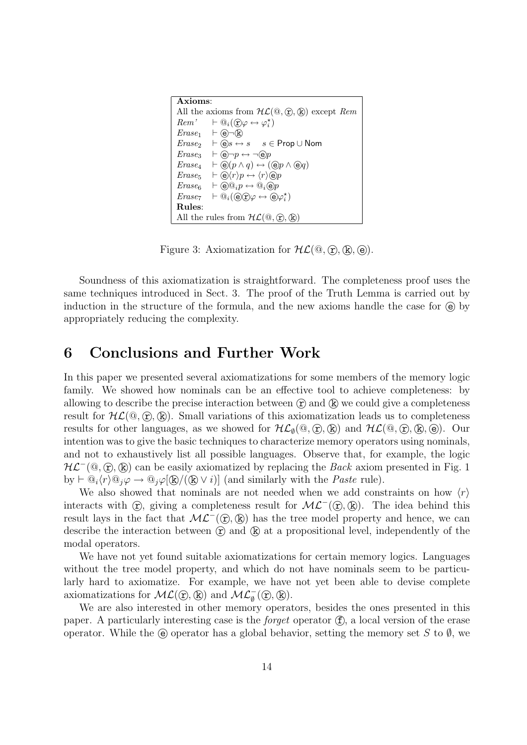| Axioms:                                                                                               |                                                                                                   |  |
|-------------------------------------------------------------------------------------------------------|---------------------------------------------------------------------------------------------------|--|
| All the axioms from $H\mathcal{L}(\mathbb{Q}, \widehat{\mathbf{r}}, \widehat{\mathbf{k}})$ except Rem |                                                                                                   |  |
|                                                                                                       | $Rem' \vdash \mathbb{Q}_i(\mathbb{C})\varphi \leftrightarrow \varphi_i^{\star}$                   |  |
|                                                                                                       | $Erase_1$ $\vdash$ $\odot \neg$ $\circ$                                                           |  |
|                                                                                                       | $\text{Erase}_2$ $\vdash \textcircled{e}s \leftrightarrow s$ $s \in \text{Prop} \cup \text{Nom}$  |  |
| Erase                                                                                                 | $\vdash$ (e) $\neg p \leftrightarrow \neg$ (e)p                                                   |  |
| $Erase_4$                                                                                             | $\vdash \Theta(p \land q) \leftrightarrow (\Theta p \land \Theta q)$                              |  |
| Erase <sub>5</sub>                                                                                    | $\vdash \Theta \langle r \rangle p \leftrightarrow \langle r \rangle \Theta p$                    |  |
| Erase <sub>6</sub>                                                                                    | $\vdash \Theta @_i p \leftrightarrow @_i \Theta p$                                                |  |
| $Erase_7$                                                                                             | $\vdash \mathbb{Q}_i(\mathbb{Q} \mathbb{C}) \varphi \leftrightarrow \mathbb{Q} \varphi_i^{\star}$ |  |
| Rules:                                                                                                |                                                                                                   |  |
| All the rules from $H\mathcal{L}(\mathbb{Q}, \mathbb{Q}, \mathbb{Q})$                                 |                                                                                                   |  |

Figure 3: Axiomatization for  $H(L(\mathbb{Q}, \mathbb{T}), \mathbb{R}), \mathbb{Q})$ .

Soundness of this axiomatization is straightforward. The completeness proof uses the same techniques introduced in Sect. 3. The proof of the Truth Lemma is carried out by induction in the structure of the formula, and the new axioms handle the case for  $\Theta$  by appropriately reducing the complexity.

### 6 Conclusions and Further Work

In this paper we presented several axiomatizations for some members of the memory logic family. We showed how nominals can be an effective tool to achieve completeness: by allowing to describe the precise interaction between  $(\hat{r})$  and  $(\hat{k})$  we could give a completeness result for  $HL(\mathbb{Q}, \mathbb{R})$ . Small variations of this axiomatization leads us to completeness results for other languages, as we showed for  $H\mathcal{L}_{\emptyset}(\mathbb{Q}, \widehat{\mathbb{r}}, \widehat{\mathbb{R}})$  and  $H\mathcal{L}(\mathbb{Q}, \widehat{\mathbb{r}}, \widehat{\mathbb{R}}, \widehat{\mathbb{e}})$ . Our intention was to give the basic techniques to characterize memory operators using nominals, and not to exhaustively list all possible languages. Observe that, for example, the logic  $HL^-(\mathbb{Q}, \mathbb{C}), \mathbb{Q}$  can be easily axiomatized by replacing the *Back* axiom presented in Fig. 1 by  $\vdash \mathbb{Q}_i \langle r \rangle \mathbb{Q}_j \varphi \to \mathbb{Q}_j \varphi[\mathbb{R}/(\mathbb{R} \vee i)]$  (and similarly with the *Paste* rule).

We also showed that nominals are not needed when we add constraints on how  $\langle r \rangle$ interacts with  $\circled{r}$ , giving a completeness result for  $ML^-(\circled{r}, \circled{r})$ . The idea behind this result lays in the fact that  $ML^-(\mathcal{D}, \mathbb{R})$  has the tree model property and hence, we can describe the interaction between  $(F)$  and  $(F)$  at a propositional level, independently of the modal operators.

We have not yet found suitable axiomatizations for certain memory logics. Languages without the tree model property, and which do not have nominals seem to be particularly hard to axiomatize. For example, we have not yet been able to devise complete axiomatizations for  $ML(\mathbb{C}, \mathbb{R})$  and  $ML_{\emptyset}^-(\mathbb{C}, \mathbb{R})$ .

We are also interested in other memory operators, besides the ones presented in this paper. A particularly interesting case is the *forget* operator  $(f)$ , a local version of the erase operator. While the  $\Theta$  operator has a global behavior, setting the memory set S to  $\emptyset$ , we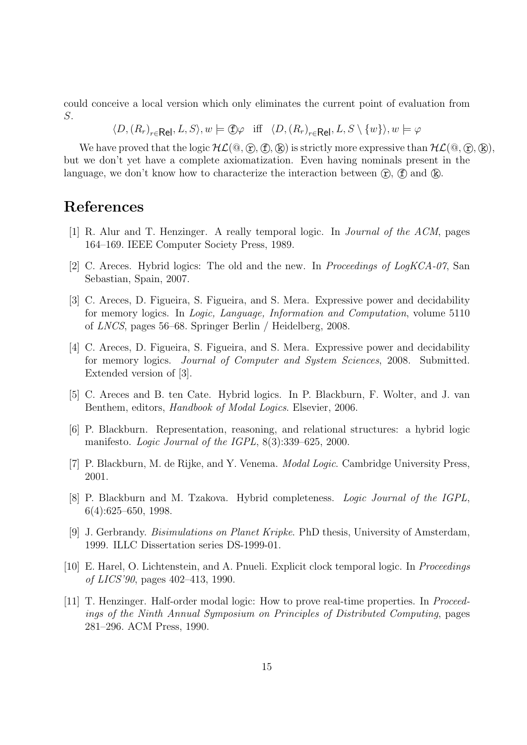could conceive a local version which only eliminates the current point of evaluation from S.

 $\langle D, (R_r)_{r \in \mathsf{Rel}}, L, S \rangle, w \models \text{fD}\varphi \text{ iff } \langle D, (R_r)_{r \in \mathsf{Rel}}, L, S \setminus \{w\} \rangle, w \models \varphi$ 

We have proved that the logic  $HL(\mathbb{Q}, \mathbb{C}, \mathbb{C}, \mathbb{R})$  is strictly more expressive than  $HL(\mathbb{Q}, \mathbb{C}, \mathbb{R}),$ but we don't yet have a complete axiomatization. Even having nominals present in the language, we don't know how to characterize the interaction between  $(\hat{r})$ ,  $(\hat{f})$  and  $(\hat{k})$ .

### References

- [1] R. Alur and T. Henzinger. A really temporal logic. In Journal of the ACM, pages 164–169. IEEE Computer Society Press, 1989.
- [2] C. Areces. Hybrid logics: The old and the new. In Proceedings of LogKCA-07, San Sebastian, Spain, 2007.
- [3] C. Areces, D. Figueira, S. Figueira, and S. Mera. Expressive power and decidability for memory logics. In Logic, Language, Information and Computation, volume 5110 of LNCS, pages 56–68. Springer Berlin / Heidelberg, 2008.
- [4] C. Areces, D. Figueira, S. Figueira, and S. Mera. Expressive power and decidability for memory logics. Journal of Computer and System Sciences, 2008. Submitted. Extended version of [3].
- [5] C. Areces and B. ten Cate. Hybrid logics. In P. Blackburn, F. Wolter, and J. van Benthem, editors, Handbook of Modal Logics. Elsevier, 2006.
- [6] P. Blackburn. Representation, reasoning, and relational structures: a hybrid logic manifesto. Logic Journal of the IGPL, 8(3):339–625, 2000.
- [7] P. Blackburn, M. de Rijke, and Y. Venema. Modal Logic. Cambridge University Press, 2001.
- [8] P. Blackburn and M. Tzakova. Hybrid completeness. Logic Journal of the IGPL, 6(4):625–650, 1998.
- [9] J. Gerbrandy. Bisimulations on Planet Kripke. PhD thesis, University of Amsterdam, 1999. ILLC Dissertation series DS-1999-01.
- [10] E. Harel, O. Lichtenstein, and A. Pnueli. Explicit clock temporal logic. In Proceedings of LICS'90, pages 402–413, 1990.
- [11] T. Henzinger. Half-order modal logic: How to prove real-time properties. In Proceedings of the Ninth Annual Symposium on Principles of Distributed Computing, pages 281–296. ACM Press, 1990.